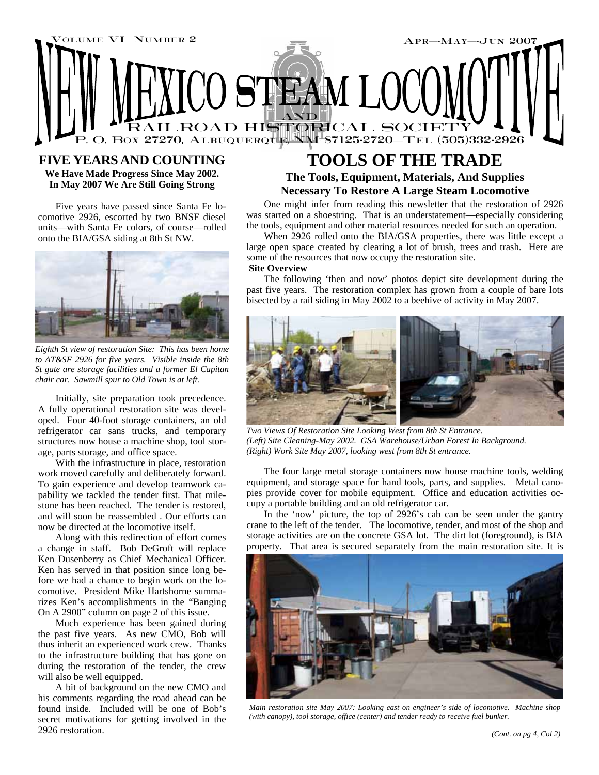

## **FIVE YEARS AND COUNTING**

**We Have Made Progress Since May 2002. In May 2007 We Are Still Going Strong** 

Five years have passed since Santa Fe locomotive 2926, escorted by two BNSF diesel units—with Santa Fe colors, of course—rolled onto the BIA/GSA siding at 8th St NW.



*Eighth St view of restoration Site: This has been home to AT&SF 2926 for five years. Visible inside the 8th St gate are storage facilities and a former El Capitan chair car. Sawmill spur to Old Town is at left.* 

Initially, site preparation took precedence. A fully operational restoration site was developed. Four 40-foot storage containers, an old refrigerator car sans trucks, and temporary structures now house a machine shop, tool storage, parts storage, and office space.

With the infrastructure in place, restoration work moved carefully and deliberately forward. To gain experience and develop teamwork capability we tackled the tender first. That milestone has been reached. The tender is restored, and will soon be reassembled . Our efforts can now be directed at the locomotive itself.

Along with this redirection of effort comes a change in staff. Bob DeGroft will replace Ken Dusenberry as Chief Mechanical Officer. Ken has served in that position since long before we had a chance to begin work on the locomotive. President Mike Hartshorne summarizes Ken's accomplishments in the "Banging On A 2900" column on page 2 of this issue.

Much experience has been gained during the past five years. As new CMO, Bob will thus inherit an experienced work crew. Thanks to the infrastructure building that has gone on during the restoration of the tender, the crew will also be well equipped.

A bit of background on the new CMO and his comments regarding the road ahead can be found inside. Included will be one of Bob's secret motivations for getting involved in the 2926 restoration.

# **TOOLS OF THE TRADE**

## **The Tools, Equipment, Materials, And Supplies Necessary To Restore A Large Steam Locomotive**

One might infer from reading this newsletter that the restoration of 2926 was started on a shoestring. That is an understatement—especially considering the tools, equipment and other material resources needed for such an operation.

When 2926 rolled onto the BIA/GSA properties, there was little except a large open space created by clearing a lot of brush, trees and trash. Here are some of the resources that now occupy the restoration site.

## **Site Overview**

The following 'then and now' photos depict site development during the past five years. The restoration complex has grown from a couple of bare lots bisected by a rail siding in May 2002 to a beehive of activity in May 2007.



*Two Views Of Restoration Site Looking West from 8th St Entrance. (Left) Site Cleaning-May 2002. GSA Warehouse/Urban Forest In Background. (Right) Work Site May 2007, looking west from 8th St entrance.* 

The four large metal storage containers now house machine tools, welding equipment, and storage space for hand tools, parts, and supplies. Metal canopies provide cover for mobile equipment. Office and education activities occupy a portable building and an old refrigerator car.

In the 'now' picture, the top of 2926's cab can be seen under the gantry crane to the left of the tender. The locomotive, tender, and most of the shop and storage activities are on the concrete GSA lot. The dirt lot (foreground), is BIA property. That area is secured separately from the main restoration site. It is



*Main restoration site May 2007: Looking east on engineer's side of locomotive. Machine shop (with canopy), tool storage, office (center) and tender ready to receive fuel bunker.*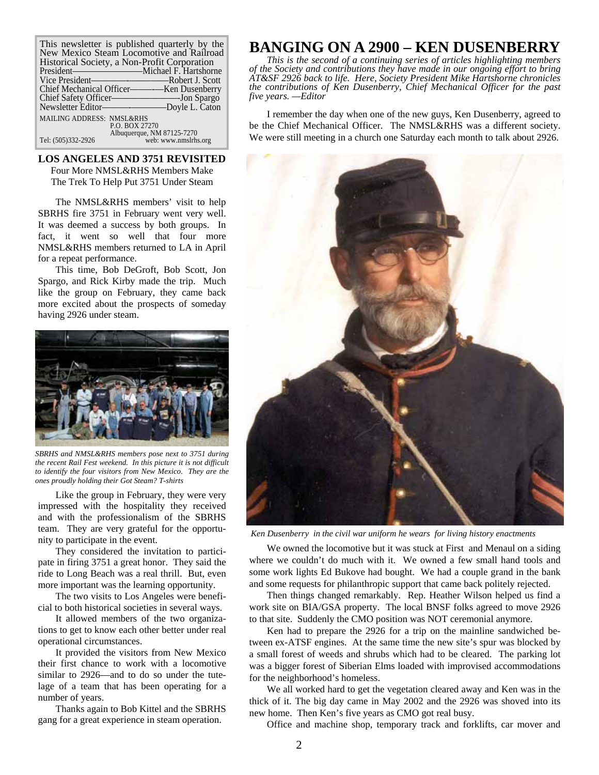| This newsletter is published quarterly by the<br>New Mexico Steam Locomotive and Railroad |  |  |
|-------------------------------------------------------------------------------------------|--|--|
| Historical Society, a Non-Profit Corporation                                              |  |  |
| President——————————————Michael F. Hartshorne                                              |  |  |
|                                                                                           |  |  |
|                                                                                           |  |  |
|                                                                                           |  |  |
| Newsletter Editor-Doyle L. Caton                                                          |  |  |
| <b>MAILING ADDRESS: NMSL&amp;RHS</b><br>P.O. BOX 27270                                    |  |  |
| Albuquerque, NM 87125-7270<br>web: www.nmslrhs.org<br>Tel: (505)332-2926                  |  |  |

### **LOS ANGELES AND 3751 REVISITED**  Four More NMSL&RHS Members Make

The Trek To Help Put 3751 Under Steam

The NMSL&RHS members' visit to help SBRHS fire 3751 in February went very well. It was deemed a success by both groups. In fact, it went so well that four more NMSL&RHS members returned to LA in April for a repeat performance.

This time, Bob DeGroft, Bob Scott, Jon Spargo, and Rick Kirby made the trip. Much like the group on February, they came back more excited about the prospects of someday having 2926 under steam.



*SBRHS and NMSL&RHS members pose next to 3751 during the recent Rail Fest weekend. In this picture it is not difficult to identify the four visitors from New Mexico. They are the ones proudly holding their Got Steam? T-shirts* 

Like the group in February, they were very impressed with the hospitality they received and with the professionalism of the SBRHS team. They are very grateful for the opportunity to participate in the event.

They considered the invitation to participate in firing 3751 a great honor. They said the ride to Long Beach was a real thrill. But, even more important was the learning opportunity.

The two visits to Los Angeles were beneficial to both historical societies in several ways.

It allowed members of the two organizations to get to know each other better under real operational circumstances.

It provided the visitors from New Mexico their first chance to work with a locomotive similar to 2926—and to do so under the tutelage of a team that has been operating for a number of years.

Thanks again to Bob Kittel and the SBRHS gang for a great experience in steam operation.

# **BANGING ON A 2900 – KEN DUSENBERRY**

*This is the second of a continuing series of articles highlighting members of the Society and contributions they have made in our ongoing effort to bring AT&SF 2926 back to life. Here, Society President Mike Hartshorne chronicles the contributions of Ken Dusenberry, Chief Mechanical Officer for the past five years. —Editor* 

I remember the day when one of the new guys, Ken Dusenberry, agreed to be the Chief Mechanical Officer. The NMSL&RHS was a different society. We were still meeting in a church one Saturday each month to talk about 2926.



*Ken Dusenberry in the civil war uniform he wears for living history enactments* 

We owned the locomotive but it was stuck at First and Menaul on a siding where we couldn't do much with it. We owned a few small hand tools and some work lights Ed Bukove had bought. We had a couple grand in the bank and some requests for philanthropic support that came back politely rejected.

Then things changed remarkably. Rep. Heather Wilson helped us find a work site on BIA/GSA property. The local BNSF folks agreed to move 2926 to that site. Suddenly the CMO position was NOT ceremonial anymore.

Ken had to prepare the 2926 for a trip on the mainline sandwiched between ex-ATSF engines. At the same time the new site's spur was blocked by a small forest of weeds and shrubs which had to be cleared. The parking lot was a bigger forest of Siberian Elms loaded with improvised accommodations for the neighborhood's homeless.

We all worked hard to get the vegetation cleared away and Ken was in the thick of it. The big day came in May 2002 and the 2926 was shoved into its new home. Then Ken's five years as CMO got real busy.

Office and machine shop, temporary track and forklifts, car mover and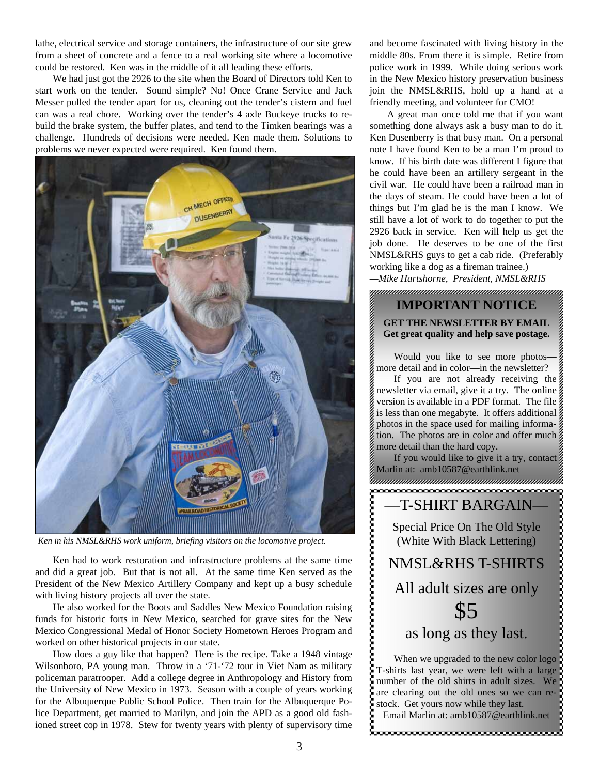lathe, electrical service and storage containers, the infrastructure of our site grew from a sheet of concrete and a fence to a real working site where a locomotive could be restored. Ken was in the middle of it all leading these efforts.

We had just got the 2926 to the site when the Board of Directors told Ken to start work on the tender. Sound simple? No! Once Crane Service and Jack Messer pulled the tender apart for us, cleaning out the tender's cistern and fuel can was a real chore. Working over the tender's 4 axle Buckeye trucks to rebuild the brake system, the buffer plates, and tend to the Timken bearings was a challenge. Hundreds of decisions were needed. Ken made them. Solutions to problems we never expected were required. Ken found them.



*Ken in his NMSL&RHS work uniform, briefing visitors on the locomotive project.* 

Ken had to work restoration and infrastructure problems at the same time and did a great job. But that is not all. At the same time Ken served as the President of the New Mexico Artillery Company and kept up a busy schedule with living history projects all over the state.

He also worked for the Boots and Saddles New Mexico Foundation raising funds for historic forts in New Mexico, searched for grave sites for the New Mexico Congressional Medal of Honor Society Hometown Heroes Program and worked on other historical projects in our state.

How does a guy like that happen? Here is the recipe. Take a 1948 vintage Wilsonboro, PA young man. Throw in a '71-'72 tour in Viet Nam as military policeman paratrooper. Add a college degree in Anthropology and History from the University of New Mexico in 1973. Season with a couple of years working for the Albuquerque Public School Police. Then train for the Albuquerque Police Department, get married to Marilyn, and join the APD as a good old fashioned street cop in 1978. Stew for twenty years with plenty of supervisory time

and become fascinated with living history in the middle 80s. From there it is simple. Retire from police work in 1999. While doing serious work in the New Mexico history preservation business join the NMSL&RHS, hold up a hand at a friendly meeting, and volunteer for CMO!

A great man once told me that if you want something done always ask a busy man to do it. Ken Dusenberry is that busy man. On a personal note I have found Ken to be a man I'm proud to know. If his birth date was different I figure that he could have been an artillery sergeant in the civil war. He could have been a railroad man in the days of steam. He could have been a lot of things but I'm glad he is the man I know. We still have a lot of work to do together to put the 2926 back in service. Ken will help us get the job done. He deserves to be one of the first NMSL&RHS guys to get a cab ride. (Preferably working like a dog as a fireman trainee.)

*—Mike Hartshorne, President, NMSL&RHS* 

## **IMPORTANT NOTICE GET THE NEWSLETTER BY EMAIL Get great quality and help save postage.**

Would you like to see more photos more detail and in color—in the newsletter?

If you are not already receiving the newsletter via email, give it a try. The online version is available in a PDF format. The file is less than one megabyte. It offers additional photos in the space used for mailing information. The photos are in color and offer much more detail than the hard copy.

If you would like to give it a try, contact Marlin at: amb10587@earthlink.net aanaanaanaanaanaanaanaanaanaanaa

Special Price On The Old Style (White With Black Lettering)

—T-SHIRT BARGAIN—

,,,,,,,,,,,,,,,,,,,,,,,,,,,,

NMSL&RHS T-SHIRTS All adult sizes are only \$5

as long as they last.

When we upgraded to the new color logo T-shirts last year, we were left with a large number of the old shirts in adult sizes. We are clearing out the old ones so we can restock. Get yours now while they last.

Email Marlin at: amb10587@earthlink.net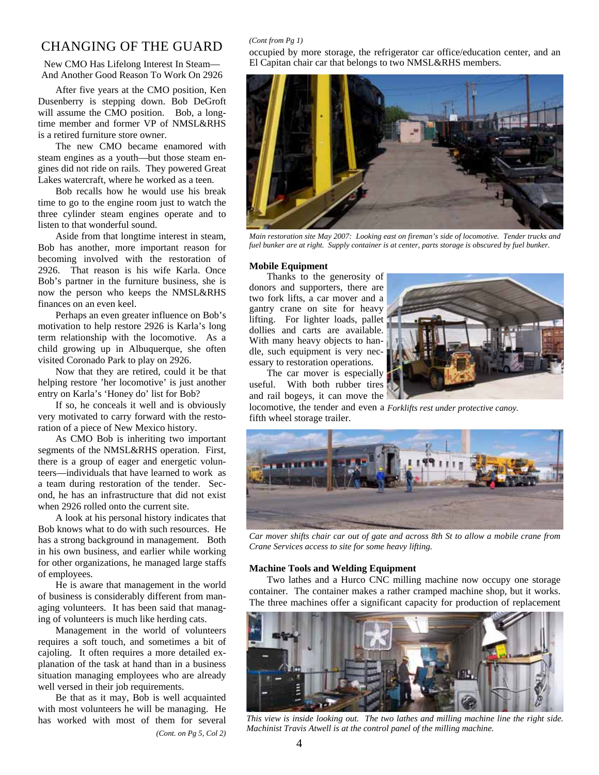## CHANGING OF THE GUARD

New CMO Has Lifelong Interest In Steam— And Another Good Reason To Work On 2926

After five years at the CMO position, Ken Dusenberry is stepping down. Bob DeGroft will assume the CMO position. Bob, a longtime member and former VP of NMSL&RHS is a retired furniture store owner.

The new CMO became enamored with steam engines as a youth—but those steam engines did not ride on rails. They powered Great Lakes watercraft, where he worked as a teen.

Bob recalls how he would use his break time to go to the engine room just to watch the three cylinder steam engines operate and to listen to that wonderful sound.

Aside from that longtime interest in steam, Bob has another, more important reason for becoming involved with the restoration of 2926. That reason is his wife Karla. Once Bob's partner in the furniture business, she is now the person who keeps the NMSL&RHS finances on an even keel.

Perhaps an even greater influence on Bob's motivation to help restore 2926 is Karla's long term relationship with the locomotive. As a child growing up in Albuquerque, she often visited Coronado Park to play on 2926.

Now that they are retired, could it be that helping restore 'her locomotive' is just another entry on Karla's 'Honey do' list for Bob?

If so, he conceals it well and is obviously very motivated to carry forward with the restoration of a piece of New Mexico history.

As CMO Bob is inheriting two important segments of the NMSL&RHS operation. First, there is a group of eager and energetic volunteers—individuals that have learned to work as a team during restoration of the tender. Second, he has an infrastructure that did not exist when 2926 rolled onto the current site.

A look at his personal history indicates that Bob knows what to do with such resources. He has a strong background in management. Both in his own business, and earlier while working for other organizations, he managed large staffs of employees.

He is aware that management in the world of business is considerably different from managing volunteers. It has been said that managing of volunteers is much like herding cats.

Management in the world of volunteers requires a soft touch, and sometimes a bit of cajoling. It often requires a more detailed explanation of the task at hand than in a business situation managing employees who are already well versed in their job requirements.

Be that as it may, Bob is well acquainted with most volunteers he will be managing. He has worked with most of them for several *(Cont. on Pg 5, Col 2)* 

#### *(Cont from Pg 1)*

occupied by more storage, the refrigerator car office/education center, and an El Capitan chair car that belongs to two NMSL&RHS members.



*Main restoration site May 2007: Looking east on fireman's side of locomotive. Tender trucks and fuel bunker are at right. Supply container is at center, parts storage is obscured by fuel bunker.* 

#### **Mobile Equipment**

Thanks to the generosity of donors and supporters, there are two fork lifts, a car mover and a gantry crane on site for heavy lifting. For lighter loads, pallet dollies and carts are available. With many heavy objects to handle, such equipment is very necessary to restoration operations.



The car mover is especially useful. With both rubber tires and rail bogeys, it can move the

locomotive, the tender and even a *Forklifts rest under protective canoy.*  fifth wheel storage trailer.



*Car mover shifts chair car out of gate and across 8th St to allow a mobile crane from Crane Services access to site for some heavy lifting.* 

#### **Machine Tools and Welding Equipment**

Two lathes and a Hurco CNC milling machine now occupy one storage container. The container makes a rather cramped machine shop, but it works. The three machines offer a significant capacity for production of replacement



*This view is inside looking out. The two lathes and milling machine line the right side. Machinist Travis Atwell is at the control panel of the milling machine.*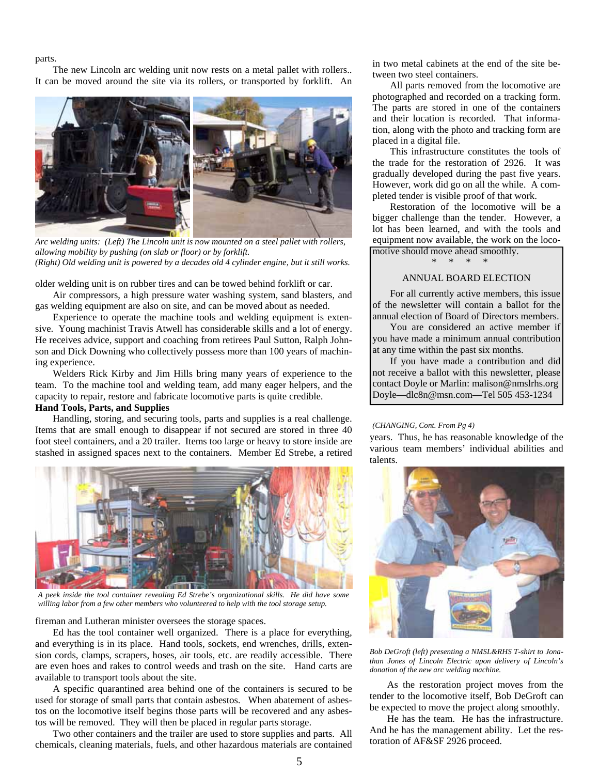#### parts.

The new Lincoln arc welding unit now rests on a metal pallet with rollers.. It can be moved around the site via its rollers, or transported by forklift. An



*Arc welding units: (Left) The Lincoln unit is now mounted on a steel pallet with rollers, allowing mobility by pushing (on slab or floor) or by forklift. (Right) Old welding unit is powered by a decades old 4 cylinder engine, but it still works.* 

older welding unit is on rubber tires and can be towed behind forklift or car.

Air compressors, a high pressure water washing system, sand blasters, and gas welding equipment are also on site, and can be moved about as needed.

Experience to operate the machine tools and welding equipment is extensive. Young machinist Travis Atwell has considerable skills and a lot of energy. He receives advice, support and coaching from retirees Paul Sutton, Ralph Johnson and Dick Downing who collectively possess more than 100 years of machining experience.

Welders Rick Kirby and Jim Hills bring many years of experience to the team. To the machine tool and welding team, add many eager helpers, and the capacity to repair, restore and fabricate locomotive parts is quite credible.

### **Hand Tools, Parts, and Supplies**

Handling, storing, and securing tools, parts and supplies is a real challenge. Items that are small enough to disappear if not secured are stored in three 40 foot steel containers, and a 20 trailer. Items too large or heavy to store inside are stashed in assigned spaces next to the containers. Member Ed Strebe, a retired



*A peek inside the tool container revealing Ed Strebe's organizational skills. He did have some willing labor from a few other members who volunteered to help with the tool storage setup.* 

fireman and Lutheran minister oversees the storage spaces.

Ed has the tool container well organized. There is a place for everything, and everything is in its place. Hand tools, sockets, end wrenches, drills, extension cords, clamps, scrapers, hoses, air tools, etc. are readily accessible. There are even hoes and rakes to control weeds and trash on the site. Hand carts are available to transport tools about the site.

A specific quarantined area behind one of the containers is secured to be used for storage of small parts that contain asbestos. When abatement of asbestos on the locomotive itself begins those parts will be recovered and any asbestos will be removed. They will then be placed in regular parts storage.

Two other containers and the trailer are used to store supplies and parts. All chemicals, cleaning materials, fuels, and other hazardous materials are contained

in two metal cabinets at the end of the site between two steel containers.

All parts removed from the locomotive are photographed and recorded on a tracking form. The parts are stored in one of the containers and their location is recorded. That information, along with the photo and tracking form are placed in a digital file.

This infrastructure constitutes the tools of the trade for the restoration of 2926. It was gradually developed during the past five years. However, work did go on all the while. A completed tender is visible proof of that work.

Restoration of the locomotive will be a bigger challenge than the tender. However, a lot has been learned, and with the tools and equipment now available, the work on the locomotive should move ahead smoothly.

\* \* \* \*

### ANNUAL BOARD ELECTION

For all currently active members, this issue of the newsletter will contain a ballot for the annual election of Board of Directors members.

You are considered an active member if you have made a minimum annual contribution at any time within the past six months.

If you have made a contribution and did not receive a ballot with this newsletter, please contact Doyle or Marlin: malison@nmslrhs.org Doyle—dlc8n@msn.com—Tel 505 453-1234

#### *(CHANGING, Cont. From Pg 4)*

years. Thus, he has reasonable knowledge of the various team members' individual abilities and talents.



*Bob DeGroft (left) presenting a NMSL&RHS T-shirt to Jonathan Jones of Lincoln Electric upon delivery of Lincoln's donation of the new arc welding machine.* 

As the restoration project moves from the tender to the locomotive itself, Bob DeGroft can be expected to move the project along smoothly.

He has the team. He has the infrastructure. And he has the management ability. Let the restoration of AF&SF 2926 proceed.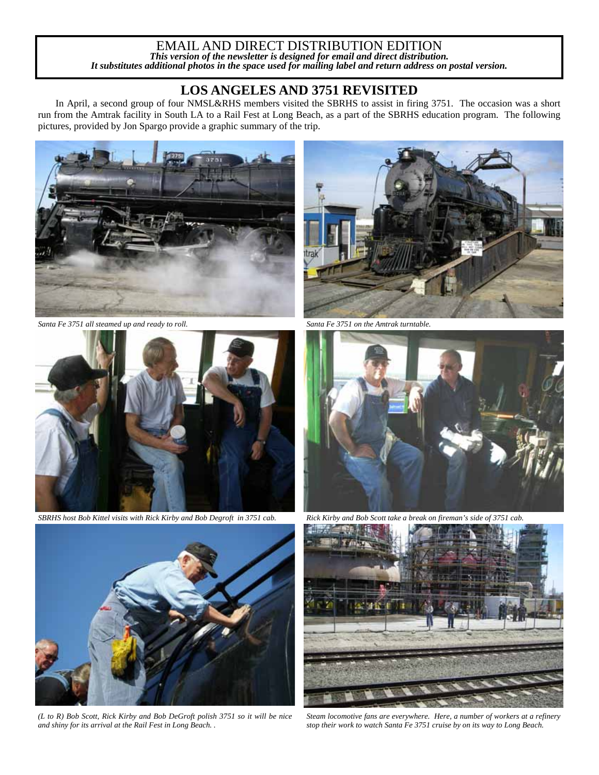### EMAIL AND DIRECT DISTRIBUTION EDITION *This version of the newsletter is designed for email and direct distribution. It substitutes additional photos in the space used for mailing label and return address on postal version.*

## **LOS ANGELES AND 3751 REVISITED**

In April, a second group of four NMSL&RHS members visited the SBRHS to assist in firing 3751. The occasion was a short run from the Amtrak facility in South LA to a Rail Fest at Long Beach, as a part of the SBRHS education program. The following pictures, provided by Jon Spargo provide a graphic summary of the trip.



*Santa Fe 3751 all steamed up and ready to roll. Santa Fe 3751 on the Amtrak turntable.* 



*SBRHS host Bob Kittel visits with Rick Kirby and Bob Degroft in 3751 cab. Rick Kirby and Bob Scott take a break on fireman's side of 3751 cab.* 



*(L to R) Bob Scott, Rick Kirby and Bob DeGroft polish 3751 so it will be nice and shiny for its arrival at the Rail Fest in Long Beach. .* 







*Steam locomotive fans are everywhere. Here, a number of workers at a refinery stop their work to watch Santa Fe 3751 cruise by on its way to Long Beach.*